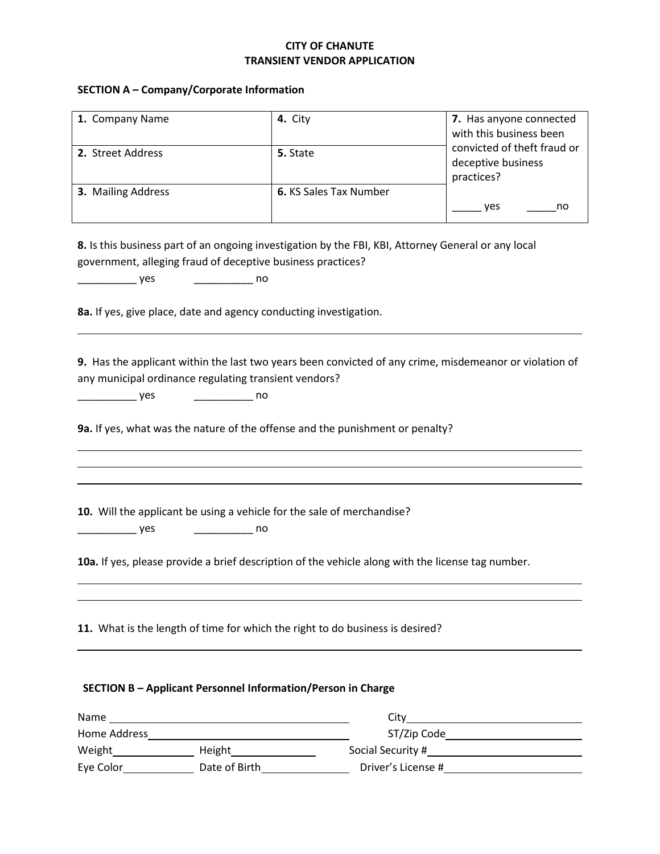## **CITY OF CHANUTE TRANSIENT VENDOR APPLICATION**

## **SECTION A – Company/Corporate Information**

| 1. Company Name          | 4. City                                                                                             | 7. Has anyone connected                                                                                                                                                                                                             |
|--------------------------|-----------------------------------------------------------------------------------------------------|-------------------------------------------------------------------------------------------------------------------------------------------------------------------------------------------------------------------------------------|
|                          |                                                                                                     | with this business been                                                                                                                                                                                                             |
| 2. Street Address        | 5. State                                                                                            | convicted of theft fraud or<br>deceptive business                                                                                                                                                                                   |
|                          |                                                                                                     | practices?                                                                                                                                                                                                                          |
| 3. Mailing Address       | 6. KS Sales Tax Number                                                                              |                                                                                                                                                                                                                                     |
|                          |                                                                                                     | ______ yes<br>no                                                                                                                                                                                                                    |
|                          |                                                                                                     |                                                                                                                                                                                                                                     |
|                          |                                                                                                     |                                                                                                                                                                                                                                     |
|                          | 8. Is this business part of an ongoing investigation by the FBI, KBI, Attorney General or any local |                                                                                                                                                                                                                                     |
|                          | government, alleging fraud of deceptive business practices?                                         |                                                                                                                                                                                                                                     |
| $\rule{1em}{0.15mm}$ yes | ___________________ no                                                                              |                                                                                                                                                                                                                                     |
|                          |                                                                                                     |                                                                                                                                                                                                                                     |
|                          | 8a. If yes, give place, date and agency conducting investigation.                                   |                                                                                                                                                                                                                                     |
|                          |                                                                                                     |                                                                                                                                                                                                                                     |
|                          |                                                                                                     |                                                                                                                                                                                                                                     |
|                          |                                                                                                     | 9. Has the applicant within the last two years been convicted of any crime, misdemeanor or violation of                                                                                                                             |
|                          | any municipal ordinance regulating transient vendors?                                               |                                                                                                                                                                                                                                     |
| <u>yes</u>               | $\overline{\phantom{a}}$ no                                                                         |                                                                                                                                                                                                                                     |
|                          |                                                                                                     |                                                                                                                                                                                                                                     |
|                          | 9a. If yes, what was the nature of the offense and the punishment or penalty?                       |                                                                                                                                                                                                                                     |
|                          |                                                                                                     |                                                                                                                                                                                                                                     |
|                          |                                                                                                     |                                                                                                                                                                                                                                     |
|                          |                                                                                                     |                                                                                                                                                                                                                                     |
|                          |                                                                                                     |                                                                                                                                                                                                                                     |
|                          | 10. Will the applicant be using a vehicle for the sale of merchandise?                              |                                                                                                                                                                                                                                     |
| yes                      | $\overline{\phantom{a}}$ no                                                                         |                                                                                                                                                                                                                                     |
|                          |                                                                                                     |                                                                                                                                                                                                                                     |
|                          | 10a. If yes, please provide a brief description of the vehicle along with the license tag number.   |                                                                                                                                                                                                                                     |
|                          |                                                                                                     |                                                                                                                                                                                                                                     |
|                          |                                                                                                     |                                                                                                                                                                                                                                     |
|                          |                                                                                                     |                                                                                                                                                                                                                                     |
|                          | 11. What is the length of time for which the right to do business is desired?                       |                                                                                                                                                                                                                                     |
|                          |                                                                                                     |                                                                                                                                                                                                                                     |
|                          |                                                                                                     |                                                                                                                                                                                                                                     |
|                          |                                                                                                     |                                                                                                                                                                                                                                     |
|                          | <b>SECTION B - Applicant Personnel Information/Person in Charge</b>                                 |                                                                                                                                                                                                                                     |
|                          |                                                                                                     |                                                                                                                                                                                                                                     |
|                          |                                                                                                     |                                                                                                                                                                                                                                     |
|                          |                                                                                                     | ST/Zip Code <u>ST/Zip Code</u>                                                                                                                                                                                                      |
|                          |                                                                                                     | Weight <b>Metaller Contains Container Contains Container</b> Social Security # Social Security # Social Security # Social Security # Social Security # Social Security # Social Security # Social Security # Social Security # Soci |
|                          |                                                                                                     |                                                                                                                                                                                                                                     |